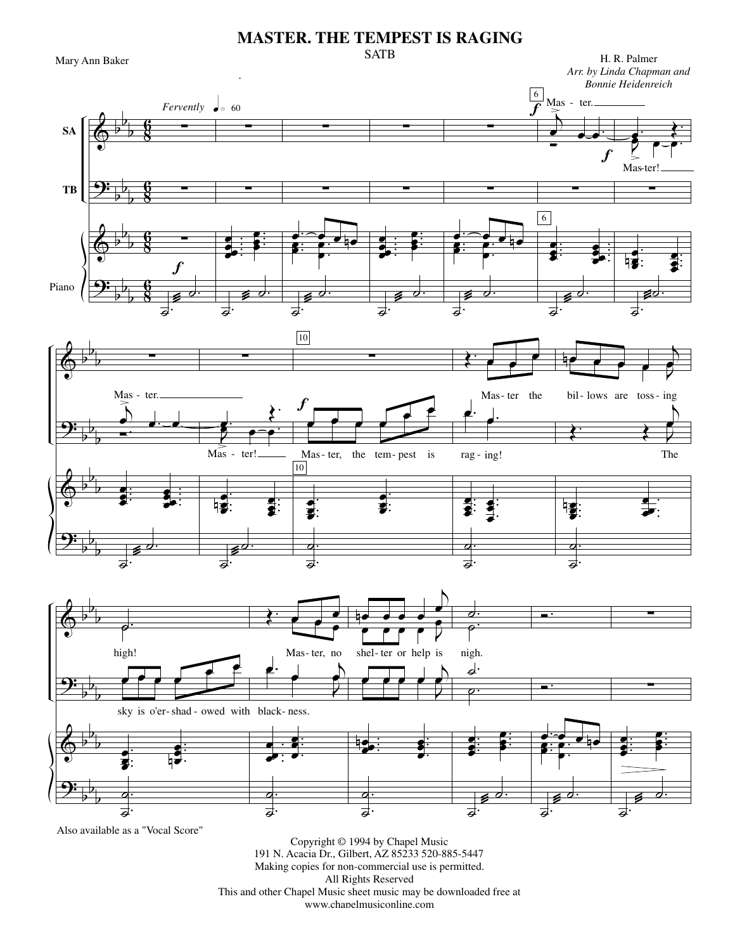## **MASTER. THE TEMPEST IS RAGING SATB**

Mary Ann Baker

H. R. Palmer Arr. by Linda Chapman and







Also available as a "Vocal Score"

Copyright © 1994 by Chapel Music 191 N. Acacia Dr., Gilbert, AZ 85233 520-885-5447 Making copies for non-commercial use is permitted. All Rights Reserved This and other Chapel Music sheet music may be downloaded free at www.chapelmusiconline.com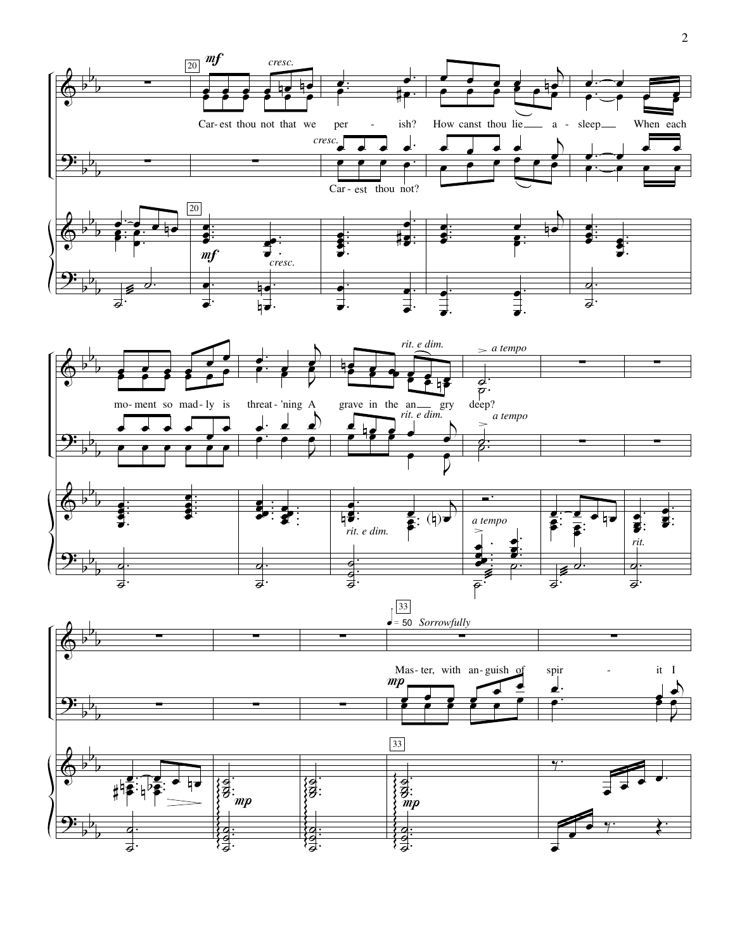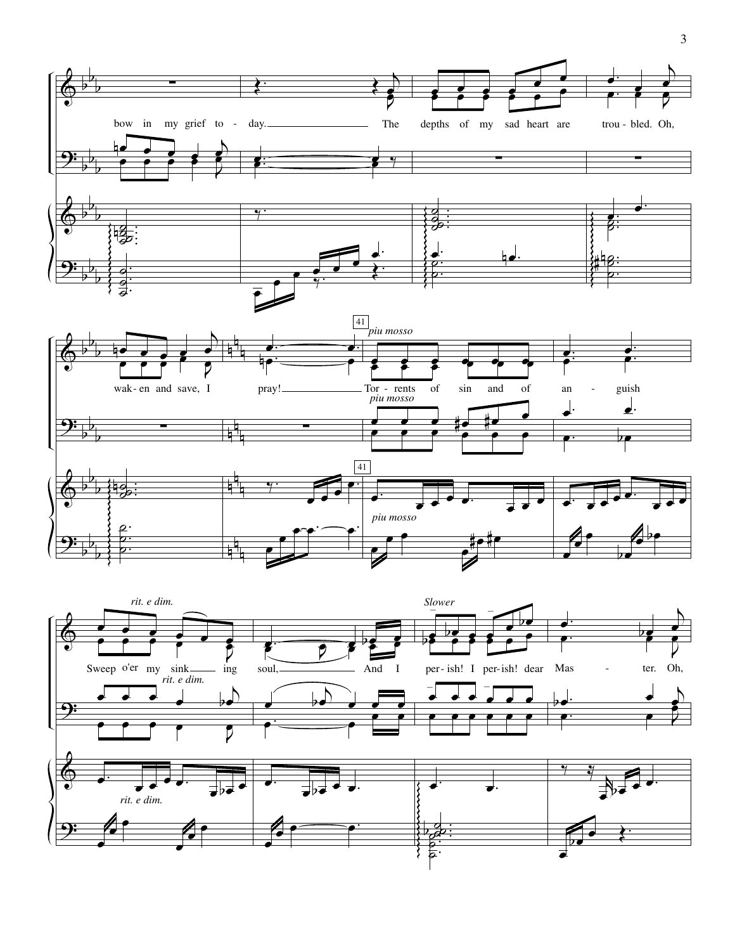

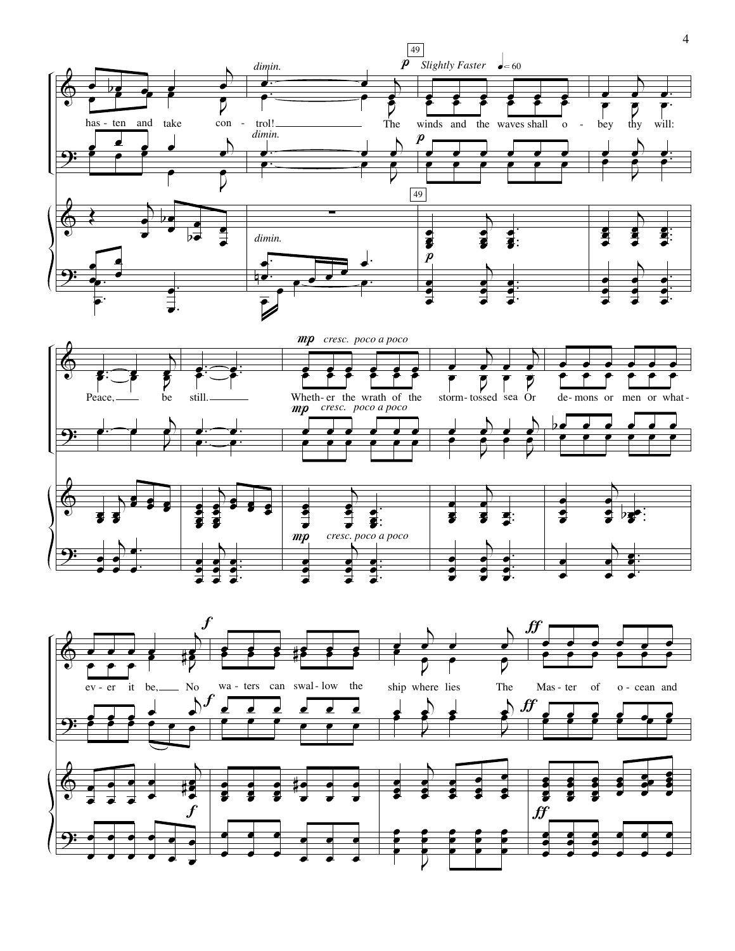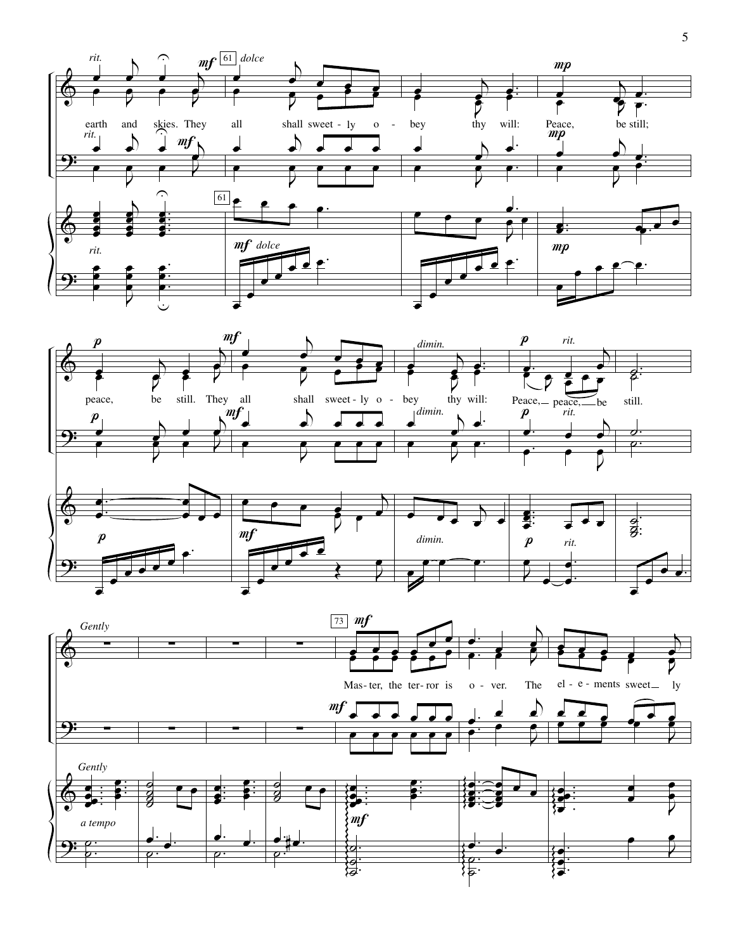

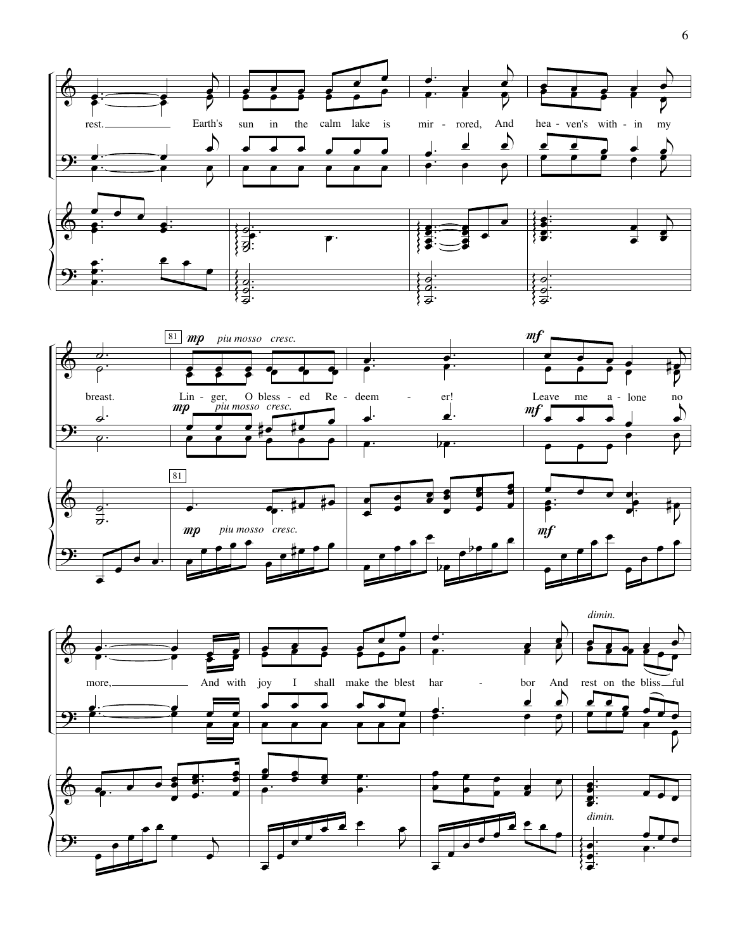

 $\sqrt{6}$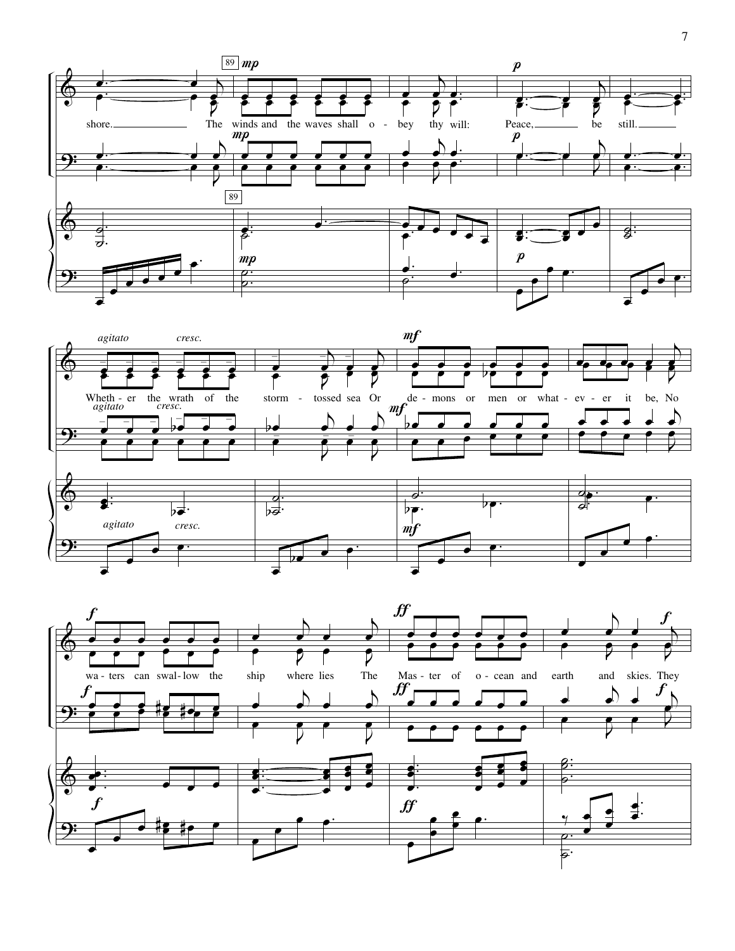